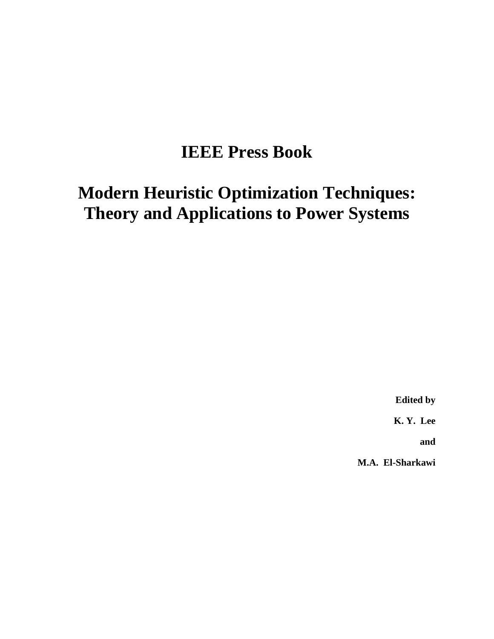# **IEEE Press Book**

# **Modern Heuristic Optimization Techniques: Theory and Applications to Power Systems**

**Edited by** 

**K. Y. Lee** 

**and** 

**M.A. El-Sharkawi**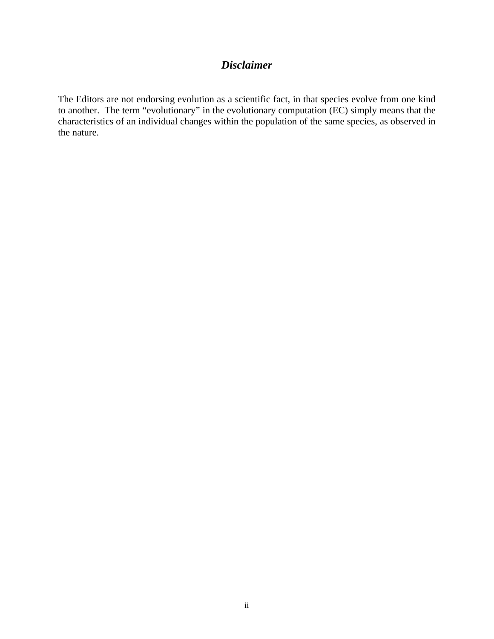## *Disclaimer*

The Editors are not endorsing evolution as a scientific fact, in that species evolve from one kind to another. The term "evolutionary" in the evolutionary computation (EC) simply means that the characteristics of an individual changes within the population of the same species, as observed in the nature.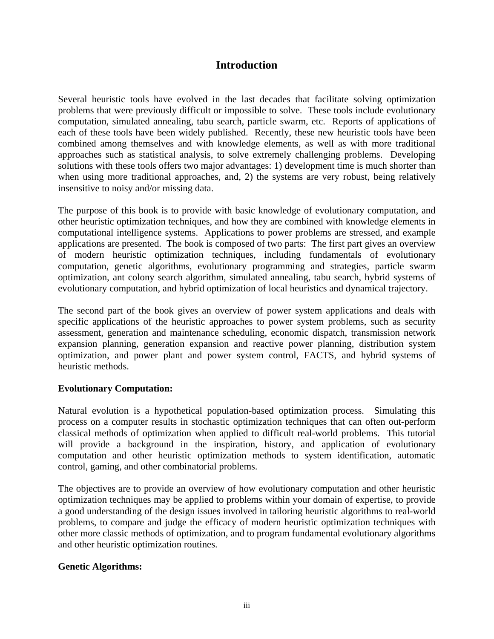### **Introduction**

Several heuristic tools have evolved in the last decades that facilitate solving optimization problems that were previously difficult or impossible to solve. These tools include evolutionary computation, simulated annealing, tabu search, particle swarm, etc. Reports of applications of each of these tools have been widely published. Recently, these new heuristic tools have been combined among themselves and with knowledge elements, as well as with more traditional approaches such as statistical analysis, to solve extremely challenging problems. Developing solutions with these tools offers two major advantages: 1) development time is much shorter than when using more traditional approaches, and, 2) the systems are very robust, being relatively insensitive to noisy and/or missing data.

The purpose of this book is to provide with basic knowledge of evolutionary computation, and other heuristic optimization techniques, and how they are combined with knowledge elements in computational intelligence systems. Applications to power problems are stressed, and example applications are presented. The book is composed of two parts: The first part gives an overview of modern heuristic optimization techniques, including fundamentals of evolutionary computation, genetic algorithms, evolutionary programming and strategies, particle swarm optimization, ant colony search algorithm, simulated annealing, tabu search, hybrid systems of evolutionary computation, and hybrid optimization of local heuristics and dynamical trajectory.

The second part of the book gives an overview of power system applications and deals with specific applications of the heuristic approaches to power system problems, such as security assessment, generation and maintenance scheduling, economic dispatch, transmission network expansion planning, generation expansion and reactive power planning, distribution system optimization, and power plant and power system control, FACTS, and hybrid systems of heuristic methods.

#### **Evolutionary Computation:**

Natural evolution is a hypothetical population-based optimization process. Simulating this process on a computer results in stochastic optimization techniques that can often out-perform classical methods of optimization when applied to difficult real-world problems. This tutorial will provide a background in the inspiration, history, and application of evolutionary computation and other heuristic optimization methods to system identification, automatic control, gaming, and other combinatorial problems.

The objectives are to provide an overview of how evolutionary computation and other heuristic optimization techniques may be applied to problems within your domain of expertise, to provide a good understanding of the design issues involved in tailoring heuristic algorithms to real-world problems, to compare and judge the efficacy of modern heuristic optimization techniques with other more classic methods of optimization, and to program fundamental evolutionary algorithms and other heuristic optimization routines.

#### **Genetic Algorithms:**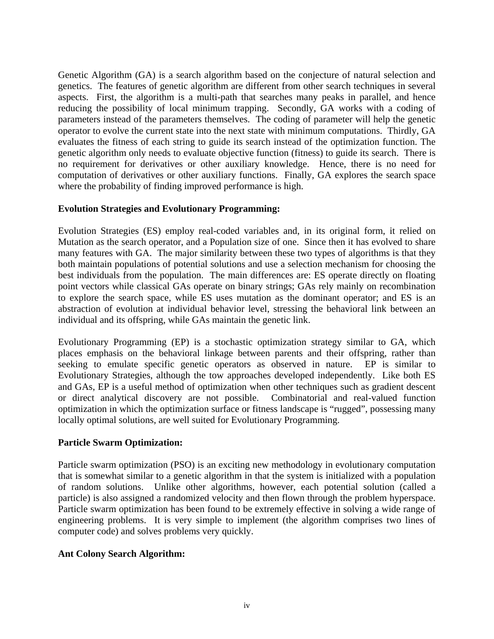Genetic Algorithm (GA) is a search algorithm based on the conjecture of natural selection and genetics. The features of genetic algorithm are different from other search techniques in several aspects. First, the algorithm is a multi-path that searches many peaks in parallel, and hence reducing the possibility of local minimum trapping. Secondly, GA works with a coding of parameters instead of the parameters themselves. The coding of parameter will help the genetic operator to evolve the current state into the next state with minimum computations. Thirdly, GA evaluates the fitness of each string to guide its search instead of the optimization function. The genetic algorithm only needs to evaluate objective function (fitness) to guide its search. There is no requirement for derivatives or other auxiliary knowledge. Hence, there is no need for computation of derivatives or other auxiliary functions. Finally, GA explores the search space where the probability of finding improved performance is high.

#### **Evolution Strategies and Evolutionary Programming:**

Evolution Strategies (ES) employ real-coded variables and, in its original form, it relied on Mutation as the search operator, and a Population size of one. Since then it has evolved to share many features with GA. The major similarity between these two types of algorithms is that they both maintain populations of potential solutions and use a selection mechanism for choosing the best individuals from the population. The main differences are: ES operate directly on floating point vectors while classical GAs operate on binary strings; GAs rely mainly on recombination to explore the search space, while ES uses mutation as the dominant operator; and ES is an abstraction of evolution at individual behavior level, stressing the behavioral link between an individual and its offspring, while GAs maintain the genetic link.

Evolutionary Programming (EP) is a stochastic optimization strategy similar to GA, which places emphasis on the behavioral linkage between parents and their offspring, rather than seeking to emulate specific genetic operators as observed in nature. EP is similar to Evolutionary Strategies, although the tow approaches developed independently. Like both ES and GAs, EP is a useful method of optimization when other techniques such as gradient descent or direct analytical discovery are not possible. Combinatorial and real-valued function optimization in which the optimization surface or fitness landscape is "rugged", possessing many locally optimal solutions, are well suited for Evolutionary Programming.

#### **Particle Swarm Optimization:**

Particle swarm optimization (PSO) is an exciting new methodology in evolutionary computation that is somewhat similar to a genetic algorithm in that the system is initialized with a population of random solutions. Unlike other algorithms, however, each potential solution (called a particle) is also assigned a randomized velocity and then flown through the problem hyperspace. Particle swarm optimization has been found to be extremely effective in solving a wide range of engineering problems. It is very simple to implement (the algorithm comprises two lines of computer code) and solves problems very quickly.

#### **Ant Colony Search Algorithm:**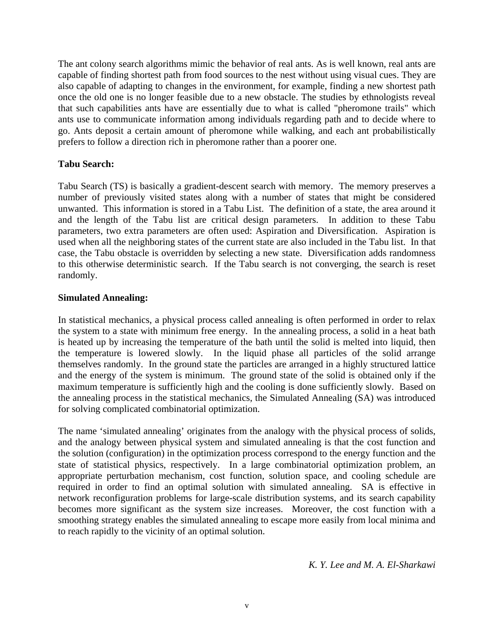The ant colony search algorithms mimic the behavior of real ants. As is well known, real ants are capable of finding shortest path from food sources to the nest without using visual cues. They are also capable of adapting to changes in the environment, for example, finding a new shortest path once the old one is no longer feasible due to a new obstacle. The studies by ethnologists reveal that such capabilities ants have are essentially due to what is called "pheromone trails" which ants use to communicate information among individuals regarding path and to decide where to go. Ants deposit a certain amount of pheromone while walking, and each ant probabilistically prefers to follow a direction rich in pheromone rather than a poorer one.

#### **Tabu Search:**

Tabu Search (TS) is basically a gradient-descent search with memory. The memory preserves a number of previously visited states along with a number of states that might be considered unwanted. This information is stored in a Tabu List. The definition of a state, the area around it and the length of the Tabu list are critical design parameters. In addition to these Tabu parameters, two extra parameters are often used: Aspiration and Diversification. Aspiration is used when all the neighboring states of the current state are also included in the Tabu list. In that case, the Tabu obstacle is overridden by selecting a new state. Diversification adds randomness to this otherwise deterministic search. If the Tabu search is not converging, the search is reset randomly.

#### **Simulated Annealing:**

In statistical mechanics, a physical process called annealing is often performed in order to relax the system to a state with minimum free energy. In the annealing process, a solid in a heat bath is heated up by increasing the temperature of the bath until the solid is melted into liquid, then the temperature is lowered slowly. In the liquid phase all particles of the solid arrange themselves randomly. In the ground state the particles are arranged in a highly structured lattice and the energy of the system is minimum. The ground state of the solid is obtained only if the maximum temperature is sufficiently high and the cooling is done sufficiently slowly. Based on the annealing process in the statistical mechanics, the Simulated Annealing (SA) was introduced for solving complicated combinatorial optimization.

The name 'simulated annealing' originates from the analogy with the physical process of solids, and the analogy between physical system and simulated annealing is that the cost function and the solution (configuration) in the optimization process correspond to the energy function and the state of statistical physics, respectively. In a large combinatorial optimization problem, an appropriate perturbation mechanism, cost function, solution space, and cooling schedule are required in order to find an optimal solution with simulated annealing. SA is effective in network reconfiguration problems for large-scale distribution systems, and its search capability becomes more significant as the system size increases. Moreover, the cost function with a smoothing strategy enables the simulated annealing to escape more easily from local minima and to reach rapidly to the vicinity of an optimal solution.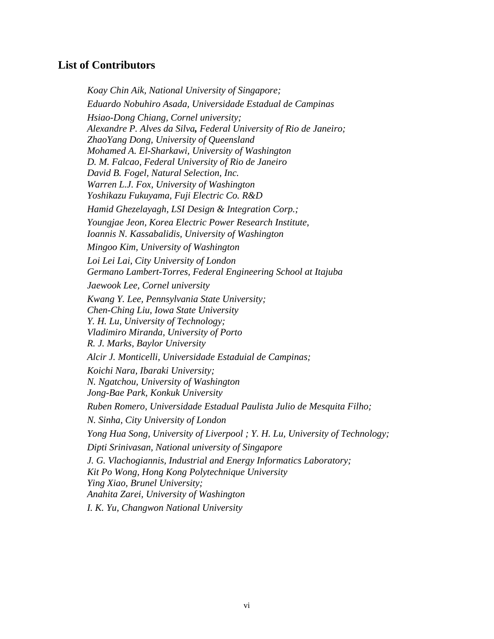### **List of Contributors**

*Koay Chin Aik, National University of Singapore; Eduardo Nobuhiro Asada, Universidade Estadual de Campinas Hsiao-Dong Chiang, Cornel university; Alexandre P. Alves da Silva, Federal University of Rio de Janeiro; ZhaoYang Dong, University of Queensland Mohamed A. El-Sharkawi, University of Washington D. M. Falcao, Federal University of Rio de Janeiro David B. Fogel, Natural Selection, Inc. Warren L.J. Fox, University of Washington Yoshikazu Fukuyama, Fuji Electric Co. R&D Hamid Ghezelayagh, LSI Design & Integration Corp.; Youngjae Jeon, Korea Electric Power Research Institute, Ioannis N. Kassabalidis, University of Washington Mingoo Kim, University of Washington Loi Lei Lai, City University of London Germano Lambert-Torres, Federal Engineering School at Itajuba Jaewook Lee, Cornel university Kwang Y. Lee, Pennsylvania State University; Chen-Ching Liu, Iowa State University Y. H. Lu, University of Technology; Vladimiro Miranda, University of Porto R. J. Marks, Baylor University Alcir J. Monticelli, Universidade Estaduial de Campinas; Koichi Nara, Ibaraki University; N. Ngatchou, University of Washington Jong-Bae Park, Konkuk University Ruben Romero, Universidade Estadual Paulista Julio de Mesquita Filho; N. Sinha, City University of London Yong Hua Song, University of Liverpool ; Y. H. Lu, University of Technology; Dipti Srinivasan, National university of Singapore J. G. Vlachogiannis, Industrial and Energy Informatics Laboratory; Kit Po Wong, Hong Kong Polytechnique University Ying Xiao, Brunel University; Anahita Zarei, University of Washington I. K. Yu, Changwon National University*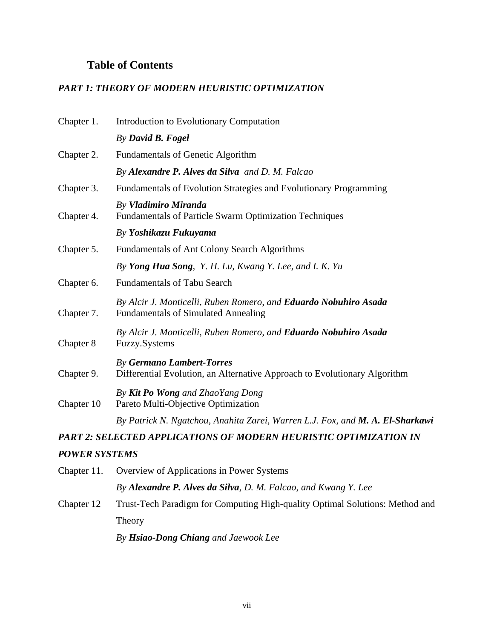## **Table of Contents**

#### *PART 1: THEORY OF MODERN HEURISTIC OPTIMIZATION*

| Chapter 1.                                                        | Introduction to Evolutionary Computation                                                                       |
|-------------------------------------------------------------------|----------------------------------------------------------------------------------------------------------------|
|                                                                   | By David B. Fogel                                                                                              |
| Chapter 2.                                                        | <b>Fundamentals of Genetic Algorithm</b>                                                                       |
|                                                                   | By Alexandre P. Alves da Silva and D. M. Falcao                                                                |
| Chapter 3.                                                        | Fundamentals of Evolution Strategies and Evolutionary Programming                                              |
| Chapter 4.                                                        | By Vladimiro Miranda<br>Fundamentals of Particle Swarm Optimization Techniques                                 |
|                                                                   | By Yoshikazu Fukuyama                                                                                          |
| Chapter 5.                                                        | <b>Fundamentals of Ant Colony Search Algorithms</b>                                                            |
|                                                                   | By Yong Hua Song, Y. H. Lu, Kwang Y. Lee, and I. K. Yu                                                         |
| Chapter 6.                                                        | <b>Fundamentals of Tabu Search</b>                                                                             |
| Chapter 7.                                                        | By Alcir J. Monticelli, Ruben Romero, and Eduardo Nobuhiro Asada<br><b>Fundamentals of Simulated Annealing</b> |
| Chapter 8                                                         | By Alcir J. Monticelli, Ruben Romero, and Eduardo Nobuhiro Asada<br>Fuzzy.Systems                              |
| Chapter 9.                                                        | <b>By Germano Lambert-Torres</b><br>Differential Evolution, an Alternative Approach to Evolutionary Algorithm  |
| Chapter 10                                                        | By <b>Kit Po Wong</b> and ZhaoYang Dong<br>Pareto Multi-Objective Optimization                                 |
|                                                                   | By Patrick N. Ngatchou, Anahita Zarei, Warren L.J. Fox, and M. A. El-Sharkawi                                  |
| PART 2: SELECTED APPLICATIONS OF MODERN HEURISTIC OPTIMIZATION IN |                                                                                                                |

#### *POWER SYSTEMS*

Chapter 11. Overview of Applications in Power Systems *By Alexandre P. Alves da Silva, D. M. Falcao, and Kwang Y. Lee*  Chapter 12 Trust-Tech Paradigm for Computing High-quality Optimal Solutions: Method and Theory

*By Hsiao-Dong Chiang and Jaewook Lee*